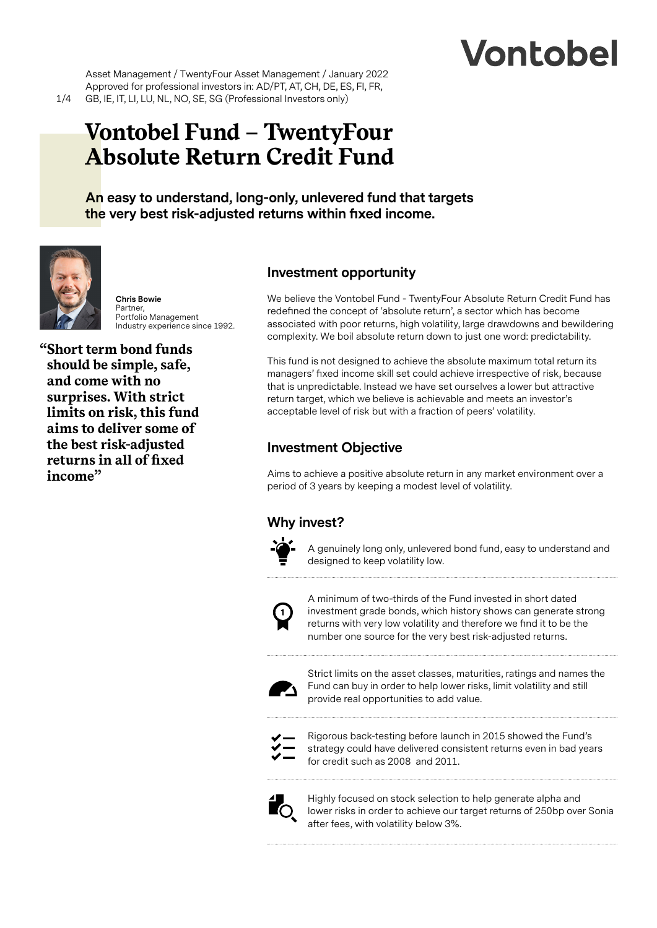# Vontobel

Asset Management / TwentyFour Asset Management / January 2022 Approved for professional investors in: AD/PT, AT, CH, DE, ES, FI, FR, GB, IE, IT, LI, LU, NL, NO, SE, SG (Professional Investors only)

# **Vontobel Fund – TwentyFour Absolute Return Credit Fund**

**An easy to understand, long-only, unlevered fund that targets the very best risk-adjusted returns within fixed income.**



**Chris Bowie** Partner, Portfolio Management Industry experience since 1992.

**"Short term bond funds should be simple, safe, and come with no surprises. With strict limits on risk, this fund aims to deliver some of the best risk-adjusted returns in all of fixed income"**

# **Investment opportunity**

We believe the Vontobel Fund - TwentyFour Absolute Return Credit Fund has redefined the concept of 'absolute return', a sector which has become associated with poor returns, high volatility, large drawdowns and bewildering complexity. We boil absolute return down to just one word: predictability.

This fund is not designed to achieve the absolute maximum total return its managers' fixed income skill set could achieve irrespective of risk, because that is unpredictable. Instead we have set ourselves a lower but attractive return target, which we believe is achievable and meets an investor's acceptable level of risk but with a fraction of peers' volatility.

# **Investment Objective**

Aims to achieve a positive absolute return in any market environment over a period of 3 years by keeping a modest level of volatility.

# **Why invest?**



A genuinely long only, unlevered bond fund, easy to understand and designed to keep volatility low.



A minimum of two-thirds of the Fund invested in short dated investment grade bonds, which history shows can generate strong returns with very low volatility and therefore we find it to be the number one source for the very best risk-adjusted returns.



Strict limits on the asset classes, maturities, ratings and names the Fund can buy in order to help lower risks, limit volatility and still provide real opportunities to add value.



Rigorous back-testing before launch in 2015 showed the Fund's strategy could have delivered consistent returns even in bad years for credit such as 2008 and 2011.



Highly focused on stock selection to help generate alpha and lower risks in order to achieve our target returns of 250bp over Sonia after fees, with volatility below 3%.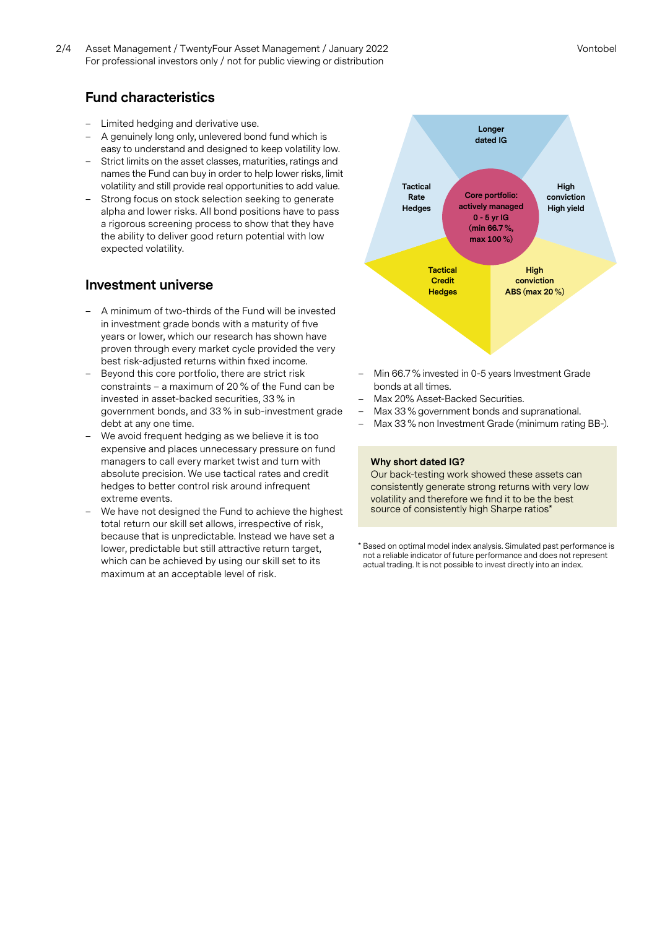2/4 Vontobel Asset Management / TwentyFour Asset Management / January 2022 For professional investors only / not for public viewing or distribution

# **Fund characteristics**

- Limited hedging and derivative use.
- A genuinely long only, unlevered bond fund which is easy to understand and designed to keep volatility low.
- Strict limits on the asset classes, maturities, ratings and names the Fund can buy in order to help lower risks, limit volatility and still provide real opportunities to add value.
- Strong focus on stock selection seeking to generate alpha and lower risks. All bond positions have to pass a rigorous screening process to show that they have the ability to deliver good return potential with low expected volatility.

#### **Investment universe**

- A minimum of two-thirds of the Fund will be invested in investment grade bonds with a maturity of five years or lower, which our research has shown have proven through every market cycle provided the very best risk-adjusted returns within fixed income.
- Beyond this core portfolio, there are strict risk constraints – a maximum of 20 % of the Fund can be invested in asset-backed securities, 33 % in government bonds, and 33 % in sub-investment grade debt at any one time.
- We avoid frequent hedging as we believe it is too expensive and places unnecessary pressure on fund managers to call every market twist and turn with absolute precision. We use tactical rates and credit hedges to better control risk around infrequent extreme events.
- We have not designed the Fund to achieve the highest total return our skill set allows, irrespective of risk, because that is unpredictable. Instead we have set a lower, predictable but still attractive return target, which can be achieved by using our skill set to its maximum at an acceptable level of risk.



- Min 66.7 % invested in 0-5 years Investment Grade bonds at all times.
- Max 20% Asset-Backed Securities.
- Max 33 % government bonds and supranational.
- Max 33 % non Investment Grade (minimum rating BB-).

#### **Why short dated IG?**

Our back-testing work showed these assets can consistently generate strong returns with very low volatility and therefore we find it to be the best source of consistently high Sharpe ratios'

\* Based on optimal model index analysis. Simulated past performance is not a reliable indicator of future performance and does not represent actual trading. It is not possible to invest directly into an index.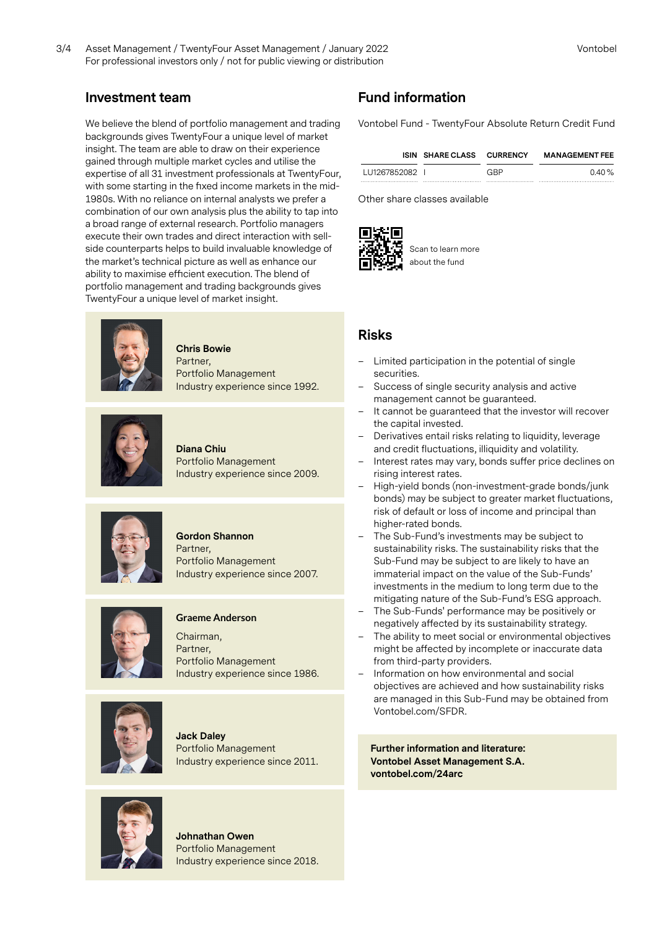# **Investment team**

We believe the blend of portfolio management and trading backgrounds gives TwentyFour a unique level of market insight. The team are able to draw on their experience gained through multiple market cycles and utilise the expertise of all 31 investment professionals at TwentyFour, with some starting in the fixed income markets in the mid-1980s. With no reliance on internal analysts we prefer a combination of our own analysis plus the ability to tap into a broad range of external research. Portfolio managers execute their own trades and direct interaction with sellside counterparts helps to build invaluable knowledge of the market's technical picture as well as enhance our ability to maximise efficient execution. The blend of portfolio management and trading backgrounds gives TwentyFour a unique level of market insight.



**Chris Bowie** Partner, Portfolio Management Industry experience since 1992.



**Diana Chiu** Portfolio Management Industry experience since 2009.



## **Gordon Shannon**

Partner, Portfolio Management Industry experience since 2007.



#### **Graeme Anderson**

Chairman, Partner, Portfolio Management Industry experience since 1986.



**Jack Daley** Portfolio Management Industry experience since 2011.



**Johnathan Owen** Portfolio Management Industry experience since 2018.

# **Fund information**

Vontobel Fund - TwentyFour Absolute Return Credit Fund

|                | ISIN SHARE CLASS CURRENCY |     | <b>MANAGEMENT FEE</b> |
|----------------|---------------------------|-----|-----------------------|
| LU1267852082 I |                           | GBP | $0.40\%$              |
|                |                           |     |                       |

Other share classes available



Scan to learn more about the fund

## **Risks**

- Limited participation in the potential of single securities.
- Success of single security analysis and active management cannot be guaranteed.
- It cannot be guaranteed that the investor will recover the capital invested.
- Derivatives entail risks relating to liquidity, leverage and credit fluctuations, illiquidity and volatility.
- Interest rates may vary, bonds suffer price declines on rising interest rates.
- High-yield bonds (non-investment-grade bonds/junk bonds) may be subject to greater market fluctuations, risk of default or loss of income and principal than higher-rated bonds.
- The Sub-Fund's investments may be subject to sustainability risks. The sustainability risks that the Sub-Fund may be subject to are likely to have an immaterial impact on the value of the Sub-Funds' investments in the medium to long term due to the mitigating nature of the Sub-Fund's ESG approach.
- The Sub-Funds' performance may be positively or negatively affected by its sustainability strategy.
- The ability to meet social or environmental objectives might be affected by incomplete or inaccurate data from third-party providers.
- Information on how environmental and social objectives are achieved and how sustainability risks are managed in this Sub-Fund may be obtained from Vontobel.com/SFDR.

**Further information and literature: Vontobel Asset Management S.A. vontobel.com/24arc**